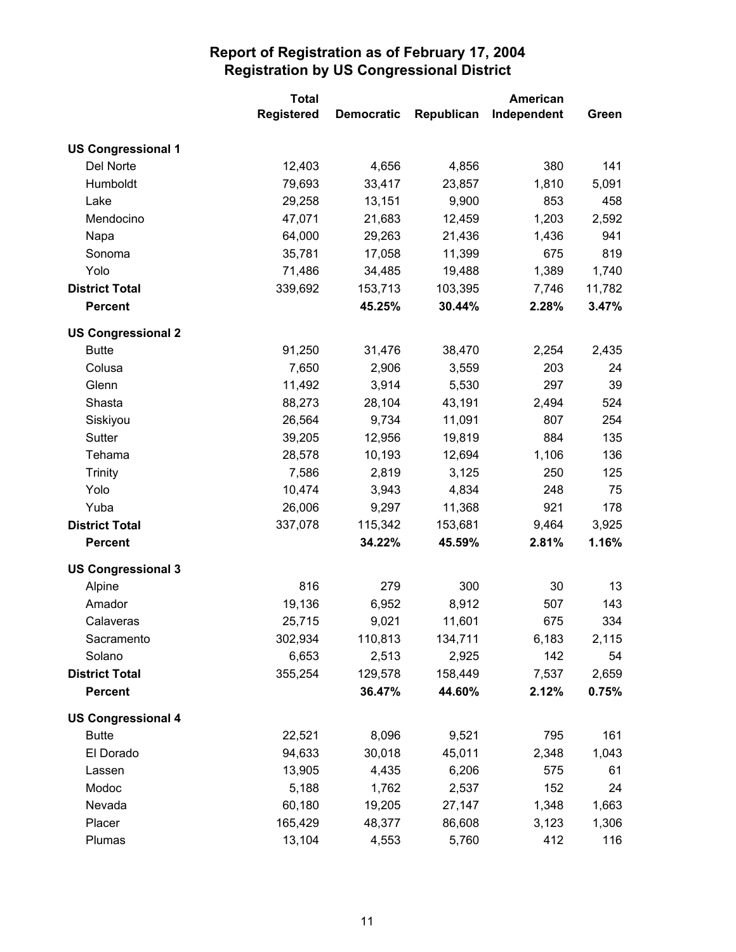|                           | <b>Total</b>      |                   |            | <b>American</b> |        |
|---------------------------|-------------------|-------------------|------------|-----------------|--------|
|                           | <b>Registered</b> | <b>Democratic</b> | Republican | Independent     | Green  |
| <b>US Congressional 1</b> |                   |                   |            |                 |        |
| Del Norte                 | 12,403            | 4,656             | 4,856      | 380             | 141    |
| Humboldt                  | 79,693            | 33,417            | 23,857     | 1,810           | 5,091  |
| Lake                      | 29,258            | 13,151            | 9,900      | 853             | 458    |
| Mendocino                 | 47,071            | 21,683            | 12,459     | 1,203           | 2,592  |
| Napa                      | 64,000            | 29,263            | 21,436     | 1,436           | 941    |
| Sonoma                    | 35,781            | 17,058            | 11,399     | 675             | 819    |
| Yolo                      | 71,486            | 34,485            | 19,488     | 1,389           | 1,740  |
| <b>District Total</b>     | 339,692           | 153,713           | 103,395    | 7,746           | 11,782 |
| <b>Percent</b>            |                   | 45.25%            | 30.44%     | 2.28%           | 3.47%  |
| <b>US Congressional 2</b> |                   |                   |            |                 |        |
| <b>Butte</b>              | 91,250            | 31,476            | 38,470     | 2,254           | 2,435  |
| Colusa                    | 7,650             | 2,906             | 3,559      | 203             | 24     |
| Glenn                     | 11,492            | 3,914             | 5,530      | 297             | 39     |
| Shasta                    | 88,273            | 28,104            | 43,191     | 2,494           | 524    |
| Siskiyou                  | 26,564            | 9,734             | 11,091     | 807             | 254    |
| Sutter                    | 39,205            | 12,956            | 19,819     | 884             | 135    |
| Tehama                    | 28,578            | 10,193            | 12,694     | 1,106           | 136    |
| <b>Trinity</b>            | 7,586             | 2,819             | 3,125      | 250             | 125    |
| Yolo                      | 10,474            | 3,943             | 4,834      | 248             | 75     |
| Yuba                      | 26,006            | 9,297             | 11,368     | 921             | 178    |
| <b>District Total</b>     | 337,078           | 115,342           | 153,681    | 9,464           | 3,925  |
| <b>Percent</b>            |                   | 34.22%            | 45.59%     | 2.81%           | 1.16%  |
| <b>US Congressional 3</b> |                   |                   |            |                 |        |
| Alpine                    | 816               | 279               | 300        | 30              | 13     |
| Amador                    | 19,136            | 6,952             | 8,912      | 507             | 143    |
| Calaveras                 | 25,715            | 9,021             | 11,601     | 675             | 334    |
| Sacramento                | 302,934           | 110,813           | 134,711    | 6,183           | 2,115  |
| Solano                    | 6,653             | 2,513             | 2,925      | 142             | 54     |
| <b>District Total</b>     | 355,254           | 129,578           | 158,449    | 7,537           | 2,659  |
| <b>Percent</b>            |                   | 36.47%            | 44.60%     | 2.12%           | 0.75%  |
| <b>US Congressional 4</b> |                   |                   |            |                 |        |
| <b>Butte</b>              | 22,521            | 8,096             | 9,521      | 795             | 161    |
| El Dorado                 | 94,633            | 30,018            | 45,011     | 2,348           | 1,043  |
| Lassen                    | 13,905            | 4,435             | 6,206      | 575             | 61     |
| Modoc                     | 5,188             | 1,762             | 2,537      | 152             | 24     |
| Nevada                    | 60,180            | 19,205            | 27,147     | 1,348           | 1,663  |
| Placer                    | 165,429           | 48,377            | 86,608     | 3,123           | 1,306  |
| Plumas                    | 13,104            | 4,553             | 5,760      | 412             | 116    |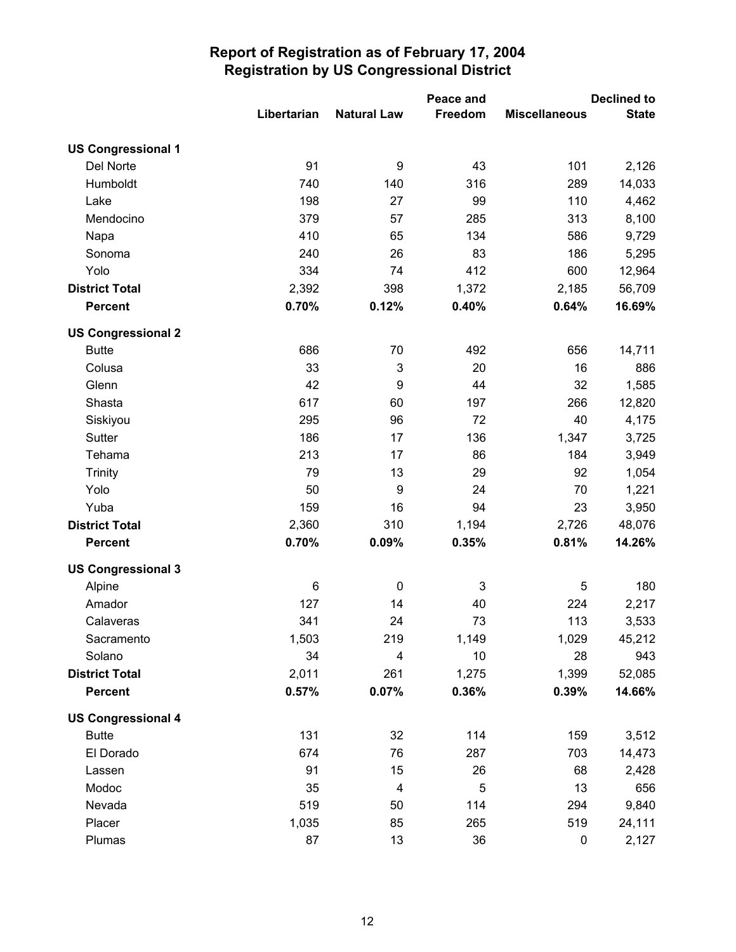|                           |             | Peace and          |         | <b>Declined to</b>   |              |
|---------------------------|-------------|--------------------|---------|----------------------|--------------|
|                           | Libertarian | <b>Natural Law</b> | Freedom | <b>Miscellaneous</b> | <b>State</b> |
| <b>US Congressional 1</b> |             |                    |         |                      |              |
| Del Norte                 | 91          | $\boldsymbol{9}$   | 43      | 101                  | 2,126        |
| Humboldt                  | 740         | 140                | 316     | 289                  | 14,033       |
| Lake                      | 198         | 27                 | 99      | 110                  | 4,462        |
| Mendocino                 | 379         | 57                 | 285     | 313                  | 8,100        |
| Napa                      | 410         | 65                 | 134     | 586                  | 9,729        |
| Sonoma                    | 240         | 26                 | 83      | 186                  | 5,295        |
| Yolo                      | 334         | 74                 | 412     | 600                  | 12,964       |
| <b>District Total</b>     | 2,392       | 398                | 1,372   | 2,185                | 56,709       |
| <b>Percent</b>            | 0.70%       | 0.12%              | 0.40%   | 0.64%                | 16.69%       |
| <b>US Congressional 2</b> |             |                    |         |                      |              |
| <b>Butte</b>              | 686         | 70                 | 492     | 656                  | 14,711       |
| Colusa                    | 33          | $\mathbf 3$        | 20      | 16                   | 886          |
| Glenn                     | 42          | $\boldsymbol{9}$   | 44      | 32                   | 1,585        |
| Shasta                    | 617         | 60                 | 197     | 266                  | 12,820       |
| Siskiyou                  | 295         | 96                 | 72      | 40                   | 4,175        |
| Sutter                    | 186         | 17                 | 136     | 1,347                | 3,725        |
| Tehama                    | 213         | 17                 | 86      | 184                  | 3,949        |
| <b>Trinity</b>            | 79          | 13                 | 29      | 92                   | 1,054        |
| Yolo                      | 50          | $\boldsymbol{9}$   | 24      | 70                   | 1,221        |
| Yuba                      | 159         | 16                 | 94      | 23                   | 3,950        |
| <b>District Total</b>     | 2,360       | 310                | 1,194   | 2,726                | 48,076       |
| <b>Percent</b>            | 0.70%       | 0.09%              | 0.35%   | 0.81%                | 14.26%       |
| <b>US Congressional 3</b> |             |                    |         |                      |              |
| Alpine                    | 6           | $\pmb{0}$          | 3       | 5                    | 180          |
| Amador                    | 127         | 14                 | 40      | 224                  | 2,217        |
| Calaveras                 | 341         | 24                 | 73      | 113                  | 3,533        |
| Sacramento                | 1,503       | 219                | 1,149   | 1,029                | 45,212       |
| Solano                    | 34          | 4                  | 10      | 28                   | 943          |
| <b>District Total</b>     | 2,011       | 261                | 1,275   | 1,399                | 52,085       |
| <b>Percent</b>            | 0.57%       | 0.07%              | 0.36%   | 0.39%                | 14.66%       |
| <b>US Congressional 4</b> |             |                    |         |                      |              |
| <b>Butte</b>              | 131         | 32                 | 114     | 159                  | 3,512        |
| El Dorado                 | 674         | 76                 | 287     | 703                  | 14,473       |
| Lassen                    | 91          | 15                 | 26      | 68                   | 2,428        |
| Modoc                     | 35          | 4                  | 5       | 13                   | 656          |
| Nevada                    | 519         | 50                 | 114     | 294                  | 9,840        |
| Placer                    | 1,035       | 85                 | 265     | 519                  | 24,111       |
| Plumas                    | 87          | 13                 | 36      | 0                    | 2,127        |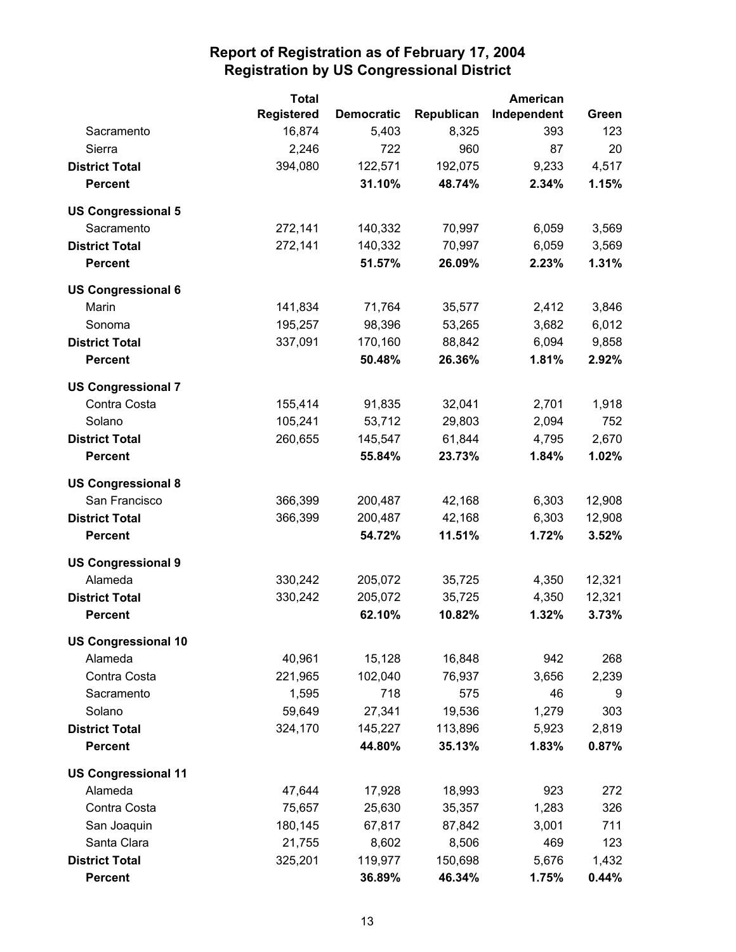|                            | <b>Total</b>      |                   |            | American    |        |
|----------------------------|-------------------|-------------------|------------|-------------|--------|
|                            | <b>Registered</b> | <b>Democratic</b> | Republican | Independent | Green  |
| Sacramento                 | 16,874            | 5,403             | 8,325      | 393         | 123    |
| Sierra                     | 2,246             | 722               | 960        | 87          | 20     |
| <b>District Total</b>      | 394,080           | 122,571           | 192,075    | 9,233       | 4,517  |
| <b>Percent</b>             |                   | 31.10%            | 48.74%     | 2.34%       | 1.15%  |
| <b>US Congressional 5</b>  |                   |                   |            |             |        |
| Sacramento                 | 272,141           | 140,332           | 70,997     | 6,059       | 3,569  |
| <b>District Total</b>      | 272,141           | 140,332           | 70,997     | 6,059       | 3,569  |
| <b>Percent</b>             |                   | 51.57%            | 26.09%     | 2.23%       | 1.31%  |
| <b>US Congressional 6</b>  |                   |                   |            |             |        |
| Marin                      | 141,834           | 71,764            | 35,577     | 2,412       | 3,846  |
| Sonoma                     | 195,257           | 98,396            | 53,265     | 3,682       | 6,012  |
| <b>District Total</b>      | 337,091           | 170,160           | 88,842     | 6,094       | 9,858  |
| <b>Percent</b>             |                   | 50.48%            | 26.36%     | 1.81%       | 2.92%  |
| <b>US Congressional 7</b>  |                   |                   |            |             |        |
| Contra Costa               | 155,414           | 91,835            | 32,041     | 2,701       | 1,918  |
| Solano                     | 105,241           | 53,712            | 29,803     | 2,094       | 752    |
| <b>District Total</b>      | 260,655           | 145,547           | 61,844     | 4,795       | 2,670  |
| <b>Percent</b>             |                   | 55.84%            | 23.73%     | 1.84%       | 1.02%  |
| <b>US Congressional 8</b>  |                   |                   |            |             |        |
| San Francisco              | 366,399           | 200,487           | 42,168     | 6,303       | 12,908 |
| <b>District Total</b>      | 366,399           | 200,487           | 42,168     | 6,303       | 12,908 |
| <b>Percent</b>             |                   | 54.72%            | 11.51%     | 1.72%       | 3.52%  |
| <b>US Congressional 9</b>  |                   |                   |            |             |        |
| Alameda                    | 330,242           | 205,072           | 35,725     | 4,350       | 12,321 |
| <b>District Total</b>      | 330,242           | 205,072           | 35,725     | 4,350       | 12,321 |
| <b>Percent</b>             |                   | 62.10%            | 10.82%     | 1.32%       | 3.73%  |
| <b>US Congressional 10</b> |                   |                   |            |             |        |
| Alameda                    | 40,961            | 15,128            | 16,848     | 942         | 268    |
| Contra Costa               | 221,965           | 102,040           | 76,937     | 3,656       | 2,239  |
| Sacramento                 | 1,595             | 718               | 575        | 46          | 9      |
| Solano                     | 59,649            | 27,341            | 19,536     | 1,279       | 303    |
| <b>District Total</b>      | 324,170           | 145,227           | 113,896    | 5,923       | 2,819  |
| <b>Percent</b>             |                   | 44.80%            | 35.13%     | 1.83%       | 0.87%  |
| <b>US Congressional 11</b> |                   |                   |            |             |        |
| Alameda                    | 47,644            | 17,928            | 18,993     | 923         | 272    |
| Contra Costa               | 75,657            | 25,630            | 35,357     | 1,283       | 326    |
| San Joaquin                | 180,145           | 67,817            | 87,842     | 3,001       | 711    |
| Santa Clara                | 21,755            | 8,602             | 8,506      | 469         | 123    |
| <b>District Total</b>      | 325,201           | 119,977           | 150,698    | 5,676       | 1,432  |
| <b>Percent</b>             |                   | 36.89%            | 46.34%     | 1.75%       | 0.44%  |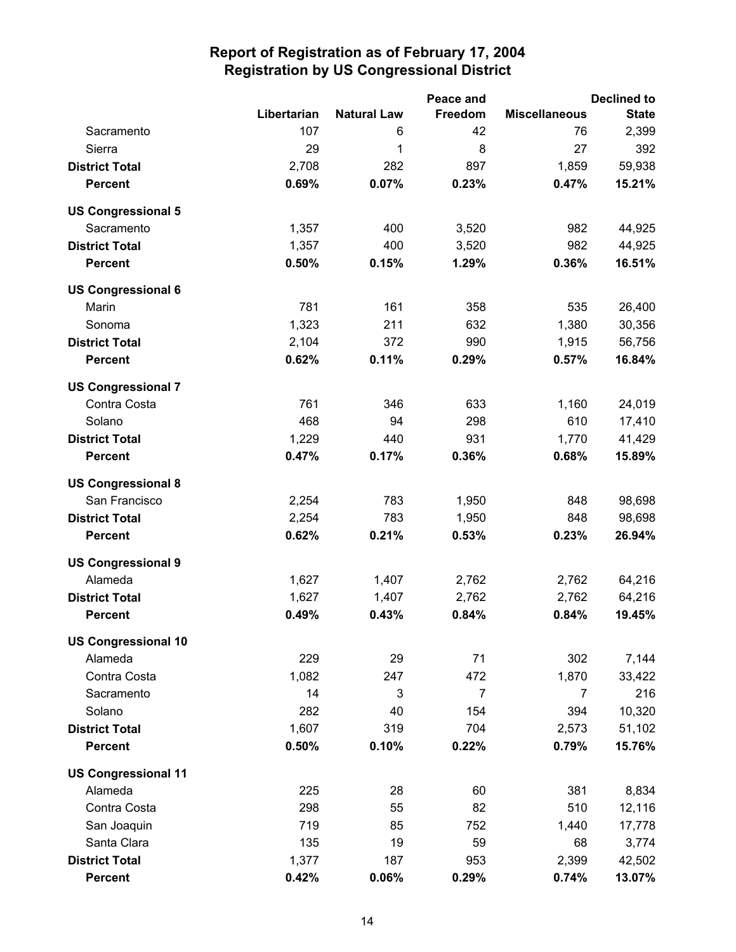|                            |             |                    | Peace and      |                      | <b>Declined to</b> |
|----------------------------|-------------|--------------------|----------------|----------------------|--------------------|
|                            | Libertarian | <b>Natural Law</b> | <b>Freedom</b> | <b>Miscellaneous</b> | <b>State</b>       |
| Sacramento                 | 107         | 6                  | 42             | 76                   | 2,399              |
| Sierra                     | 29          | 1                  | 8              | 27                   | 392                |
| <b>District Total</b>      | 2,708       | 282                | 897            | 1,859                | 59,938             |
| <b>Percent</b>             | 0.69%       | 0.07%              | 0.23%          | 0.47%                | 15.21%             |
| <b>US Congressional 5</b>  |             |                    |                |                      |                    |
| Sacramento                 | 1,357       | 400                | 3,520          | 982                  | 44,925             |
| <b>District Total</b>      | 1,357       | 400                | 3,520          | 982                  | 44,925             |
| <b>Percent</b>             | 0.50%       | 0.15%              | 1.29%          | 0.36%                | 16.51%             |
| <b>US Congressional 6</b>  |             |                    |                |                      |                    |
| Marin                      | 781         | 161                | 358            | 535                  | 26,400             |
| Sonoma                     | 1,323       | 211                | 632            | 1,380                | 30,356             |
| <b>District Total</b>      | 2,104       | 372                | 990            | 1,915                | 56,756             |
| <b>Percent</b>             | 0.62%       | 0.11%              | 0.29%          | 0.57%                | 16.84%             |
| <b>US Congressional 7</b>  |             |                    |                |                      |                    |
| Contra Costa               | 761         | 346                | 633            | 1,160                | 24,019             |
| Solano                     | 468         | 94                 | 298            | 610                  | 17,410             |
| <b>District Total</b>      | 1,229       | 440                | 931            | 1,770                | 41,429             |
| <b>Percent</b>             | 0.47%       | 0.17%              | 0.36%          | 0.68%                | 15.89%             |
| <b>US Congressional 8</b>  |             |                    |                |                      |                    |
| San Francisco              | 2,254       | 783                | 1,950          | 848                  | 98,698             |
| <b>District Total</b>      | 2,254       | 783                | 1,950          | 848                  | 98,698             |
| <b>Percent</b>             | 0.62%       | 0.21%              | 0.53%          | 0.23%                | 26.94%             |
| <b>US Congressional 9</b>  |             |                    |                |                      |                    |
| Alameda                    | 1,627       | 1,407              | 2,762          | 2,762                | 64,216             |
| <b>District Total</b>      | 1,627       | 1,407              | 2,762          | 2,762                | 64,216             |
| <b>Percent</b>             | 0.49%       | 0.43%              | 0.84%          | 0.84%                | 19.45%             |
| <b>US Congressional 10</b> |             |                    |                |                      |                    |
| Alameda                    | 229         | 29                 | 71             | 302                  | 7,144              |
| Contra Costa               | 1,082       | 247                | 472            | 1,870                | 33,422             |
| Sacramento                 | 14          | 3                  | $\overline{7}$ | $\overline{7}$       | 216                |
| Solano                     | 282         | 40                 | 154            | 394                  | 10,320             |
| <b>District Total</b>      | 1,607       | 319                | 704            | 2,573                | 51,102             |
| <b>Percent</b>             | 0.50%       | 0.10%              | 0.22%          | 0.79%                | 15.76%             |
| <b>US Congressional 11</b> |             |                    |                |                      |                    |
| Alameda                    | 225         | 28                 | 60             | 381                  | 8,834              |
| Contra Costa               | 298         | 55                 | 82             | 510                  | 12,116             |
| San Joaquin                | 719         | 85                 | 752            | 1,440                | 17,778             |
| Santa Clara                | 135         | 19                 | 59             | 68                   | 3,774              |
| <b>District Total</b>      | 1,377       | 187                | 953            | 2,399                | 42,502             |
| <b>Percent</b>             | 0.42%       | 0.06%              | 0.29%          | 0.74%                | 13.07%             |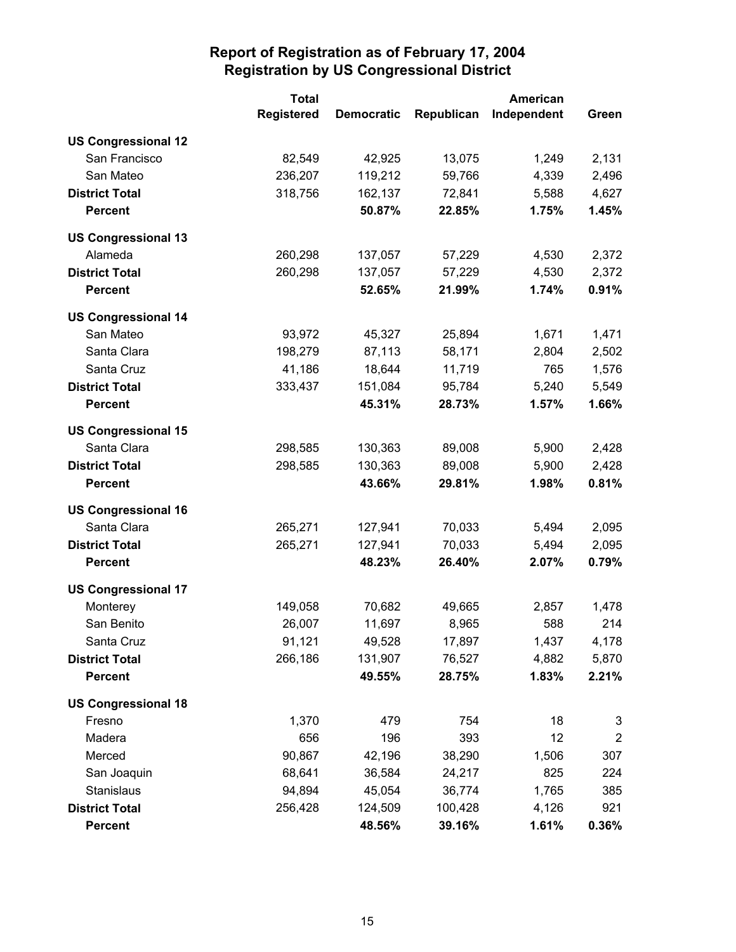|                            | <b>Total</b>      |                   | <b>American</b> |             |                |
|----------------------------|-------------------|-------------------|-----------------|-------------|----------------|
|                            | <b>Registered</b> | <b>Democratic</b> | Republican      | Independent | Green          |
| <b>US Congressional 12</b> |                   |                   |                 |             |                |
| San Francisco              | 82,549            | 42,925            | 13,075          | 1,249       | 2,131          |
| San Mateo                  | 236,207           | 119,212           | 59,766          | 4,339       | 2,496          |
| <b>District Total</b>      | 318,756           | 162,137           | 72,841          | 5,588       | 4,627          |
| <b>Percent</b>             |                   | 50.87%            | 22.85%          | 1.75%       | 1.45%          |
| <b>US Congressional 13</b> |                   |                   |                 |             |                |
| Alameda                    | 260,298           | 137,057           | 57,229          | 4,530       | 2,372          |
| <b>District Total</b>      | 260,298           | 137,057           | 57,229          | 4,530       | 2,372          |
| <b>Percent</b>             |                   | 52.65%            | 21.99%          | 1.74%       | 0.91%          |
| <b>US Congressional 14</b> |                   |                   |                 |             |                |
| San Mateo                  | 93,972            | 45,327            | 25,894          | 1,671       | 1,471          |
| Santa Clara                | 198,279           | 87,113            | 58,171          | 2,804       | 2,502          |
| Santa Cruz                 | 41,186            | 18,644            | 11,719          | 765         | 1,576          |
| <b>District Total</b>      | 333,437           | 151,084           | 95,784          | 5,240       | 5,549          |
| <b>Percent</b>             |                   | 45.31%            | 28.73%          | 1.57%       | 1.66%          |
| <b>US Congressional 15</b> |                   |                   |                 |             |                |
| Santa Clara                | 298,585           | 130,363           | 89,008          | 5,900       | 2,428          |
| <b>District Total</b>      | 298,585           | 130,363           | 89,008          | 5,900       | 2,428          |
| <b>Percent</b>             |                   | 43.66%            | 29.81%          | 1.98%       | 0.81%          |
| <b>US Congressional 16</b> |                   |                   |                 |             |                |
| Santa Clara                | 265,271           | 127,941           | 70,033          | 5,494       | 2,095          |
| <b>District Total</b>      | 265,271           | 127,941           | 70,033          | 5,494       | 2,095          |
| <b>Percent</b>             |                   | 48.23%            | 26.40%          | 2.07%       | 0.79%          |
| <b>US Congressional 17</b> |                   |                   |                 |             |                |
| Monterey                   | 149,058           | 70,682            | 49,665          | 2,857       | 1,478          |
| San Benito                 | 26,007            | 11,697            | 8,965           | 588         | 214            |
| Santa Cruz                 | 91,121            | 49,528            | 17,897          | 1,437       | 4,178          |
| <b>District Total</b>      | 266,186           | 131,907           | 76,527          | 4,882       | 5,870          |
| <b>Percent</b>             |                   | 49.55%            | 28.75%          | 1.83%       | 2.21%          |
| <b>US Congressional 18</b> |                   |                   |                 |             |                |
| Fresno                     | 1,370             | 479               | 754             | 18          | 3              |
| Madera                     | 656               | 196               | 393             | 12          | $\overline{2}$ |
| Merced                     | 90,867            | 42,196            | 38,290          | 1,506       | 307            |
| San Joaquin                | 68,641            | 36,584            | 24,217          | 825         | 224            |
| Stanislaus                 | 94,894            | 45,054            | 36,774          | 1,765       | 385            |
| <b>District Total</b>      | 256,428           | 124,509           | 100,428         | 4,126       | 921            |
| <b>Percent</b>             |                   | 48.56%            | 39.16%          | 1.61%       | 0.36%          |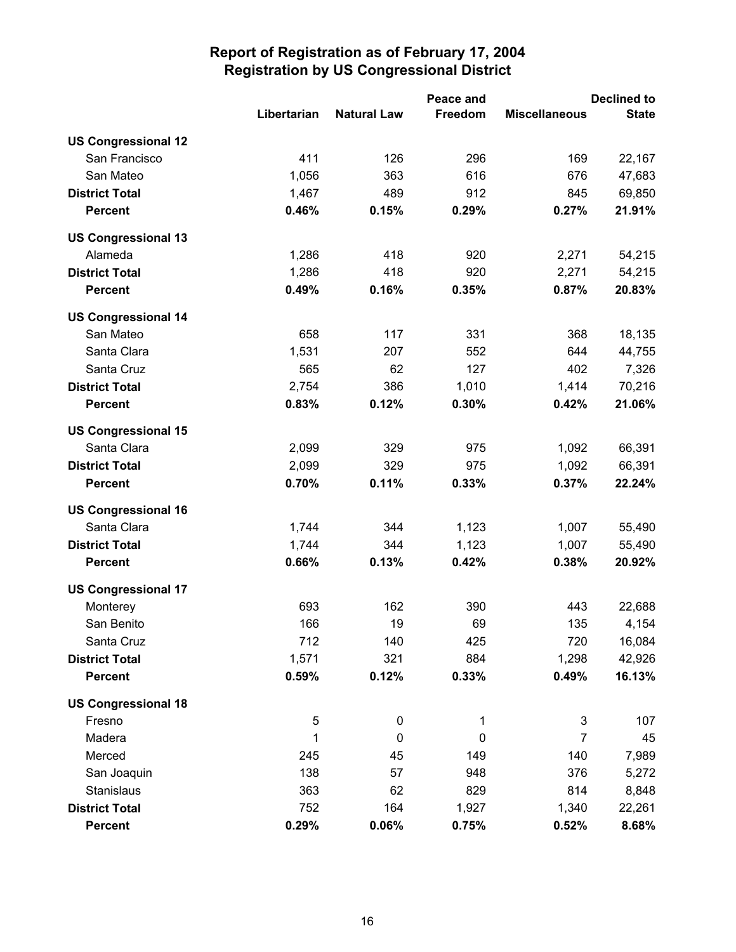|                            |             |                    | Peace and      |                      | <b>Declined to</b> |
|----------------------------|-------------|--------------------|----------------|----------------------|--------------------|
|                            | Libertarian | <b>Natural Law</b> | <b>Freedom</b> | <b>Miscellaneous</b> | <b>State</b>       |
| <b>US Congressional 12</b> |             |                    |                |                      |                    |
| San Francisco              | 411         | 126                | 296            | 169                  | 22,167             |
| San Mateo                  | 1,056       | 363                | 616            | 676                  | 47,683             |
| <b>District Total</b>      | 1,467       | 489                | 912            | 845                  | 69,850             |
| <b>Percent</b>             | 0.46%       | 0.15%              | 0.29%          | 0.27%                | 21.91%             |
| <b>US Congressional 13</b> |             |                    |                |                      |                    |
| Alameda                    | 1,286       | 418                | 920            | 2,271                | 54,215             |
| <b>District Total</b>      | 1,286       | 418                | 920            | 2,271                | 54,215             |
| <b>Percent</b>             | 0.49%       | 0.16%              | 0.35%          | 0.87%                | 20.83%             |
| <b>US Congressional 14</b> |             |                    |                |                      |                    |
| San Mateo                  | 658         | 117                | 331            | 368                  | 18,135             |
| Santa Clara                | 1,531       | 207                | 552            | 644                  | 44,755             |
| Santa Cruz                 | 565         | 62                 | 127            | 402                  | 7,326              |
| <b>District Total</b>      | 2,754       | 386                | 1,010          | 1,414                | 70,216             |
| <b>Percent</b>             | 0.83%       | 0.12%              | 0.30%          | 0.42%                | 21.06%             |
| <b>US Congressional 15</b> |             |                    |                |                      |                    |
| Santa Clara                | 2,099       | 329                | 975            | 1,092                | 66,391             |
| <b>District Total</b>      | 2,099       | 329                | 975            | 1,092                | 66,391             |
| <b>Percent</b>             | 0.70%       | 0.11%              | 0.33%          | 0.37%                | 22.24%             |
| <b>US Congressional 16</b> |             |                    |                |                      |                    |
| Santa Clara                | 1,744       | 344                | 1,123          | 1,007                | 55,490             |
| <b>District Total</b>      | 1,744       | 344                | 1,123          | 1,007                | 55,490             |
| <b>Percent</b>             | 0.66%       | 0.13%              | 0.42%          | 0.38%                | 20.92%             |
| <b>US Congressional 17</b> |             |                    |                |                      |                    |
| Monterey                   | 693         | 162                | 390            | 443                  | 22,688             |
| San Benito                 | 166         | 19                 | 69             | 135                  | 4,154              |
| Santa Cruz                 | 712         | 140                | 425            | 720                  | 16,084             |
| <b>District Total</b>      | 1,571       | 321                | 884            | 1,298                | 42,926             |
| <b>Percent</b>             | 0.59%       | 0.12%              | 0.33%          | 0.49%                | 16.13%             |
| <b>US Congressional 18</b> |             |                    |                |                      |                    |
| Fresno                     | 5           | $\pmb{0}$          | 1              | $\sqrt{3}$           | 107                |
| Madera                     | 1           | $\pmb{0}$          | $\mathbf 0$    | $\overline{7}$       | 45                 |
| Merced                     | 245         | 45                 | 149            | 140                  | 7,989              |
| San Joaquin                | 138         | 57                 | 948            | 376                  | 5,272              |
| Stanislaus                 | 363         | 62                 | 829            | 814                  | 8,848              |
| <b>District Total</b>      | 752         | 164                | 1,927          | 1,340                | 22,261             |
| <b>Percent</b>             | 0.29%       | 0.06%              | 0.75%          | 0.52%                | 8.68%              |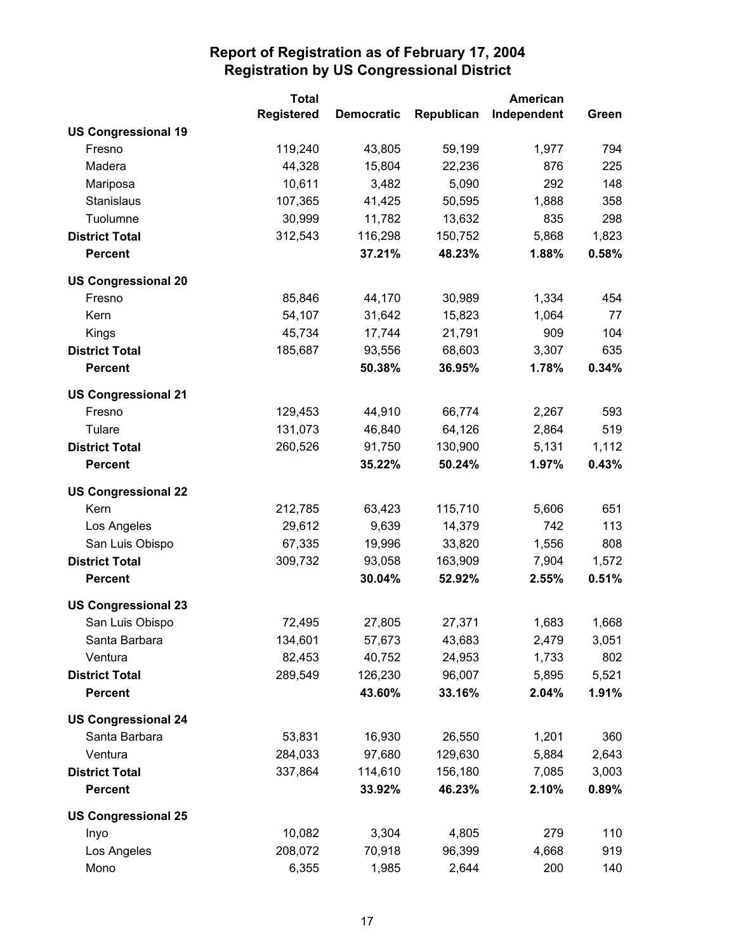|                            | <b>Total</b>      |                   | <b>American</b> |             |       |
|----------------------------|-------------------|-------------------|-----------------|-------------|-------|
|                            | <b>Registered</b> | <b>Democratic</b> | Republican      | Independent | Green |
| <b>US Congressional 19</b> |                   |                   |                 |             |       |
| Fresno                     | 119,240           | 43,805            | 59,199          | 1,977       | 794   |
| Madera                     | 44,328            | 15,804            | 22,236          | 876         | 225   |
| Mariposa                   | 10,611            | 3,482             | 5,090           | 292         | 148   |
| Stanislaus                 | 107,365           | 41,425            | 50,595          | 1,888       | 358   |
| Tuolumne                   | 30,999            | 11,782            | 13,632          | 835         | 298   |
| <b>District Total</b>      | 312,543           | 116,298           | 150,752         | 5,868       | 1,823 |
| <b>Percent</b>             |                   | 37.21%            | 48.23%          | 1.88%       | 0.58% |
| <b>US Congressional 20</b> |                   |                   |                 |             |       |
| Fresno                     | 85,846            | 44,170            | 30,989          | 1,334       | 454   |
| Kern                       | 54,107            | 31,642            | 15,823          | 1,064       | 77    |
| Kings                      | 45,734            | 17,744            | 21,791          | 909         | 104   |
| <b>District Total</b>      | 185,687           | 93,556            | 68,603          | 3,307       | 635   |
| <b>Percent</b>             |                   | 50.38%            | 36.95%          | 1.78%       | 0.34% |
| <b>US Congressional 21</b> |                   |                   |                 |             |       |
| Fresno                     | 129,453           | 44,910            | 66,774          | 2,267       | 593   |
| Tulare                     | 131,073           | 46,840            | 64,126          | 2,864       | 519   |
| <b>District Total</b>      | 260,526           | 91,750            | 130,900         | 5,131       | 1,112 |
| <b>Percent</b>             |                   | 35.22%            | 50.24%          | 1.97%       | 0.43% |
| <b>US Congressional 22</b> |                   |                   |                 |             |       |
| Kern                       | 212,785           | 63,423            | 115,710         | 5,606       | 651   |
| Los Angeles                | 29,612            | 9,639             | 14,379          | 742         | 113   |
| San Luis Obispo            | 67,335            | 19,996            | 33,820          | 1,556       | 808   |
| <b>District Total</b>      | 309,732           | 93,058            | 163,909         | 7,904       | 1,572 |
| <b>Percent</b>             |                   | 30.04%            | 52.92%          | 2.55%       | 0.51% |
| <b>US Congressional 23</b> |                   |                   |                 |             |       |
| San Luis Obispo            | 72,495            | 27,805            | 27,371          | 1,683       | 1,668 |
| Santa Barbara              | 134,601           | 57,673            | 43,683          | 2,479       | 3,051 |
| Ventura                    | 82,453            | 40,752            | 24,953          | 1,733       | 802   |
| <b>District Total</b>      | 289,549           | 126,230           | 96,007          | 5,895       | 5,521 |
| <b>Percent</b>             |                   | 43.60%            | 33.16%          | 2.04%       | 1.91% |
| <b>US Congressional 24</b> |                   |                   |                 |             |       |
| Santa Barbara              | 53,831            | 16,930            | 26,550          | 1,201       | 360   |
| Ventura                    | 284,033           | 97,680            | 129,630         | 5,884       | 2,643 |
| <b>District Total</b>      | 337,864           | 114,610           | 156,180         | 7,085       | 3,003 |
| <b>Percent</b>             |                   | 33.92%            | 46.23%          | 2.10%       | 0.89% |
| <b>US Congressional 25</b> |                   |                   |                 |             |       |
| Inyo                       | 10,082            | 3,304             | 4,805           | 279         | 110   |
| Los Angeles                | 208,072           | 70,918            | 96,399          | 4,668       | 919   |
| Mono                       | 6,355             | 1,985             | 2,644           | 200         | 140   |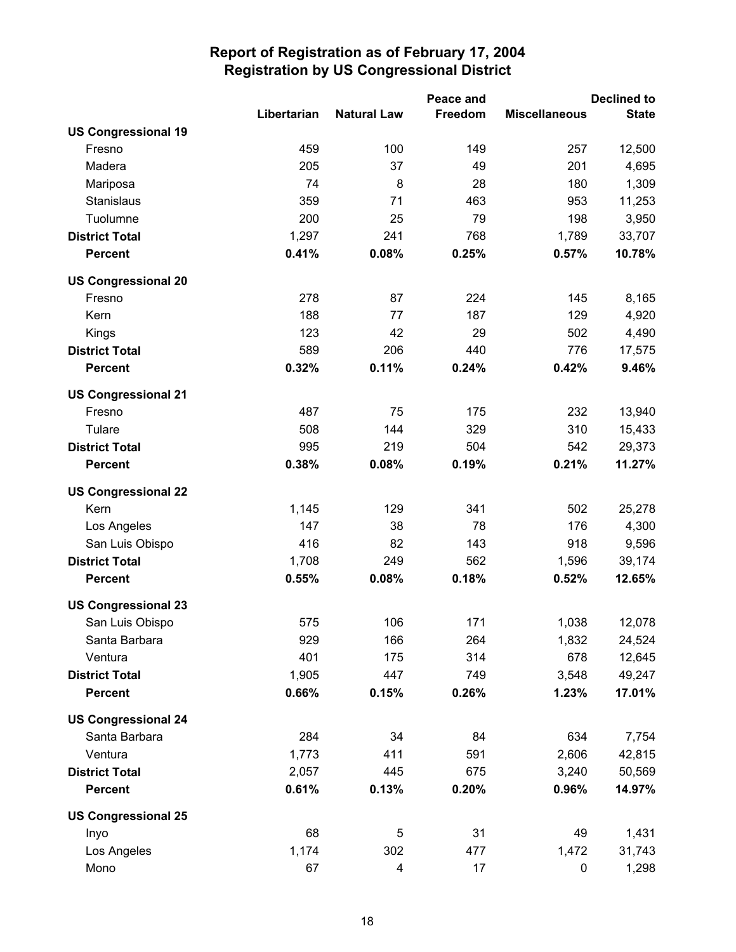|                            |             |                    | Peace and |                      | <b>Declined to</b> |
|----------------------------|-------------|--------------------|-----------|----------------------|--------------------|
|                            | Libertarian | <b>Natural Law</b> | Freedom   | <b>Miscellaneous</b> | <b>State</b>       |
| <b>US Congressional 19</b> |             |                    |           |                      |                    |
| Fresno                     | 459         | 100                | 149       | 257                  | 12,500             |
| Madera                     | 205         | 37                 | 49        | 201                  | 4,695              |
| Mariposa                   | 74          | 8                  | 28        | 180                  | 1,309              |
| Stanislaus                 | 359         | 71                 | 463       | 953                  | 11,253             |
| Tuolumne                   | 200         | 25                 | 79        | 198                  | 3,950              |
| <b>District Total</b>      | 1,297       | 241                | 768       | 1,789                | 33,707             |
| <b>Percent</b>             | 0.41%       | 0.08%              | 0.25%     | 0.57%                | 10.78%             |
| <b>US Congressional 20</b> |             |                    |           |                      |                    |
| Fresno                     | 278         | 87                 | 224       | 145                  | 8,165              |
| Kern                       | 188         | 77                 | 187       | 129                  | 4,920              |
| Kings                      | 123         | 42                 | 29        | 502                  | 4,490              |
| <b>District Total</b>      | 589         | 206                | 440       | 776                  | 17,575             |
| Percent                    | 0.32%       | 0.11%              | 0.24%     | 0.42%                | 9.46%              |
| <b>US Congressional 21</b> |             |                    |           |                      |                    |
| Fresno                     | 487         | 75                 | 175       | 232                  | 13,940             |
| Tulare                     | 508         | 144                | 329       | 310                  | 15,433             |
| <b>District Total</b>      | 995         | 219                | 504       | 542                  | 29,373             |
| <b>Percent</b>             | 0.38%       | 0.08%              | 0.19%     | 0.21%                | 11.27%             |
| <b>US Congressional 22</b> |             |                    |           |                      |                    |
| Kern                       | 1,145       | 129                | 341       | 502                  | 25,278             |
| Los Angeles                | 147         | 38                 | 78        | 176                  | 4,300              |
| San Luis Obispo            | 416         | 82                 | 143       | 918                  | 9,596              |
| <b>District Total</b>      | 1,708       | 249                | 562       | 1,596                | 39,174             |
| <b>Percent</b>             | 0.55%       | 0.08%              | 0.18%     | 0.52%                | 12.65%             |
| <b>US Congressional 23</b> |             |                    |           |                      |                    |
| San Luis Obispo            | 575         | 106                | 171       | 1,038                | 12,078             |
| Santa Barbara              | 929         | 166                | 264       | 1,832                | 24,524             |
| Ventura                    | 401         | 175                | 314       | 678                  | 12,645             |
| <b>District Total</b>      | 1,905       | 447                | 749       | 3,548                | 49,247             |
| <b>Percent</b>             | 0.66%       | 0.15%              | 0.26%     | 1.23%                | 17.01%             |
| <b>US Congressional 24</b> |             |                    |           |                      |                    |
| Santa Barbara              | 284         | 34                 | 84        | 634                  | 7,754              |
| Ventura                    | 1,773       | 411                | 591       | 2,606                | 42,815             |
| <b>District Total</b>      | 2,057       | 445                | 675       | 3,240                | 50,569             |
| <b>Percent</b>             | 0.61%       | 0.13%              | 0.20%     | 0.96%                | 14.97%             |
| <b>US Congressional 25</b> |             |                    |           |                      |                    |
| Inyo                       | 68          | 5                  | 31        | 49                   | 1,431              |
| Los Angeles                | 1,174       | 302                | 477       | 1,472                | 31,743             |
| Mono                       | 67          | 4                  | 17        | 0                    | 1,298              |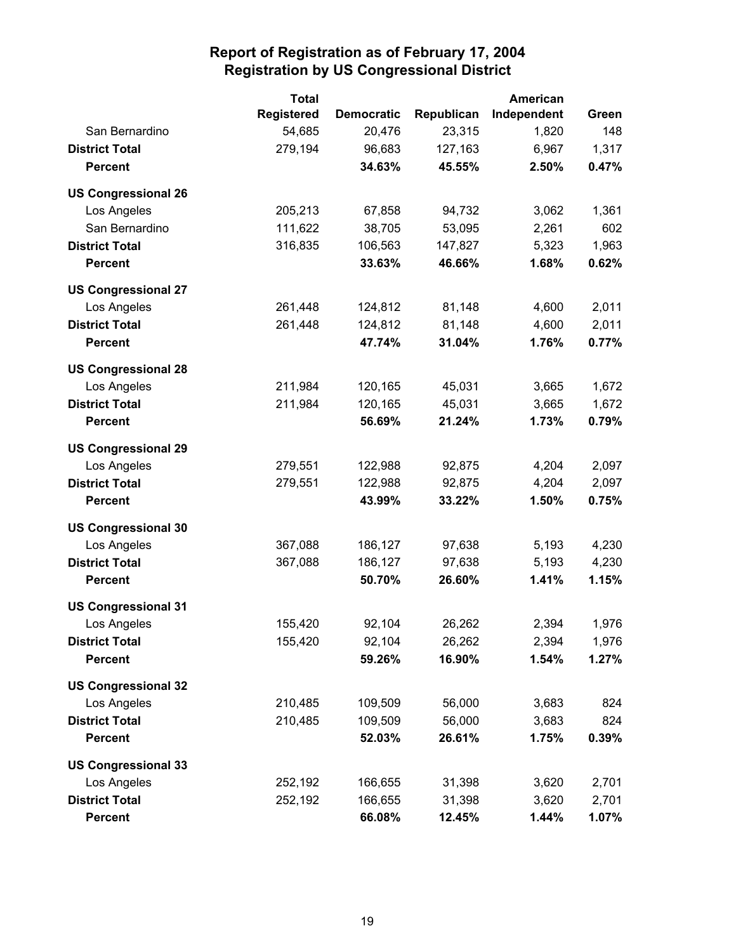|                            | <b>Total</b>      |                   |            | American    |       |
|----------------------------|-------------------|-------------------|------------|-------------|-------|
|                            | <b>Registered</b> | <b>Democratic</b> | Republican | Independent | Green |
| San Bernardino             | 54,685            | 20,476            | 23,315     | 1,820       | 148   |
| <b>District Total</b>      | 279,194           | 96,683            | 127,163    | 6,967       | 1,317 |
| <b>Percent</b>             |                   | 34.63%            | 45.55%     | 2.50%       | 0.47% |
| <b>US Congressional 26</b> |                   |                   |            |             |       |
| Los Angeles                | 205,213           | 67,858            | 94,732     | 3,062       | 1,361 |
| San Bernardino             | 111,622           | 38,705            | 53,095     | 2,261       | 602   |
| <b>District Total</b>      | 316,835           | 106,563           | 147,827    | 5,323       | 1,963 |
| <b>Percent</b>             |                   | 33.63%            | 46.66%     | 1.68%       | 0.62% |
| <b>US Congressional 27</b> |                   |                   |            |             |       |
| Los Angeles                | 261,448           | 124,812           | 81,148     | 4,600       | 2,011 |
| <b>District Total</b>      | 261,448           | 124,812           | 81,148     | 4,600       | 2,011 |
| <b>Percent</b>             |                   | 47.74%            | 31.04%     | 1.76%       | 0.77% |
| <b>US Congressional 28</b> |                   |                   |            |             |       |
| Los Angeles                | 211,984           | 120,165           | 45,031     | 3,665       | 1,672 |
| <b>District Total</b>      | 211,984           | 120,165           | 45,031     | 3,665       | 1,672 |
| <b>Percent</b>             |                   | 56.69%            | 21.24%     | 1.73%       | 0.79% |
| <b>US Congressional 29</b> |                   |                   |            |             |       |
| Los Angeles                | 279,551           | 122,988           | 92,875     | 4,204       | 2,097 |
| <b>District Total</b>      | 279,551           | 122,988           | 92,875     | 4,204       | 2,097 |
| <b>Percent</b>             |                   | 43.99%            | 33.22%     | 1.50%       | 0.75% |
| <b>US Congressional 30</b> |                   |                   |            |             |       |
| Los Angeles                | 367,088           | 186,127           | 97,638     | 5,193       | 4,230 |
| <b>District Total</b>      | 367,088           | 186,127           | 97,638     | 5,193       | 4,230 |
| <b>Percent</b>             |                   | 50.70%            | 26.60%     | 1.41%       | 1.15% |
| <b>US Congressional 31</b> |                   |                   |            |             |       |
| Los Angeles                | 155,420           | 92,104            | 26,262     | 2,394       | 1,976 |
| <b>District Total</b>      | 155,420           | 92,104            | 26,262     | 2,394       | 1,976 |
| <b>Percent</b>             |                   | 59.26%            | 16.90%     | 1.54%       | 1.27% |
| <b>US Congressional 32</b> |                   |                   |            |             |       |
| Los Angeles                | 210,485           | 109,509           | 56,000     | 3,683       | 824   |
| <b>District Total</b>      | 210,485           | 109,509           | 56,000     | 3,683       | 824   |
| <b>Percent</b>             |                   | 52.03%            | 26.61%     | 1.75%       | 0.39% |
| <b>US Congressional 33</b> |                   |                   |            |             |       |
| Los Angeles                | 252,192           | 166,655           | 31,398     | 3,620       | 2,701 |
| <b>District Total</b>      | 252,192           | 166,655           | 31,398     | 3,620       | 2,701 |
| <b>Percent</b>             |                   | 66.08%            | 12.45%     | 1.44%       | 1.07% |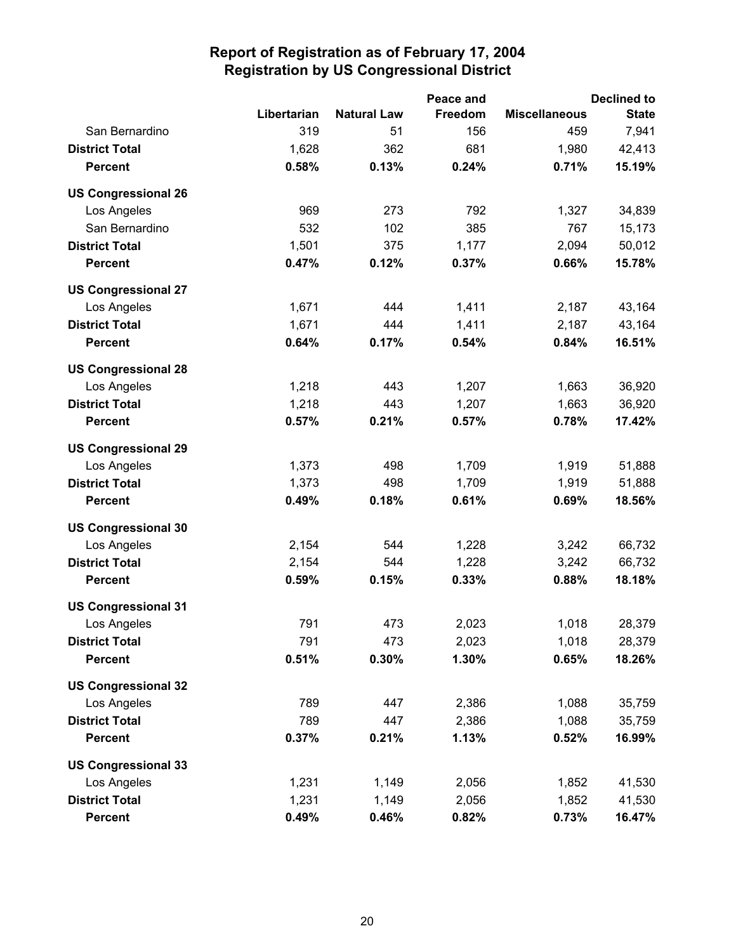|                            |             |                    | Peace and      |                      | <b>Declined to</b> |
|----------------------------|-------------|--------------------|----------------|----------------------|--------------------|
|                            | Libertarian | <b>Natural Law</b> | <b>Freedom</b> | <b>Miscellaneous</b> | <b>State</b>       |
| San Bernardino             | 319         | 51                 | 156            | 459                  | 7,941              |
| <b>District Total</b>      | 1,628       | 362                | 681            | 1,980                | 42,413             |
| <b>Percent</b>             | 0.58%       | 0.13%              | 0.24%          | 0.71%                | 15.19%             |
| <b>US Congressional 26</b> |             |                    |                |                      |                    |
| Los Angeles                | 969         | 273                | 792            | 1,327                | 34,839             |
| San Bernardino             | 532         | 102                | 385            | 767                  | 15,173             |
| <b>District Total</b>      | 1,501       | 375                | 1,177          | 2,094                | 50,012             |
| <b>Percent</b>             | 0.47%       | 0.12%              | 0.37%          | 0.66%                | 15.78%             |
| <b>US Congressional 27</b> |             |                    |                |                      |                    |
| Los Angeles                | 1,671       | 444                | 1,411          | 2,187                | 43,164             |
| <b>District Total</b>      | 1,671       | 444                | 1,411          | 2,187                | 43,164             |
| <b>Percent</b>             | 0.64%       | 0.17%              | 0.54%          | 0.84%                | 16.51%             |
| <b>US Congressional 28</b> |             |                    |                |                      |                    |
| Los Angeles                | 1,218       | 443                | 1,207          | 1,663                | 36,920             |
| <b>District Total</b>      | 1,218       | 443                | 1,207          | 1,663                | 36,920             |
| <b>Percent</b>             | 0.57%       | 0.21%              | 0.57%          | 0.78%                | 17.42%             |
| <b>US Congressional 29</b> |             |                    |                |                      |                    |
| Los Angeles                | 1,373       | 498                | 1,709          | 1,919                | 51,888             |
| <b>District Total</b>      | 1,373       | 498                | 1,709          | 1,919                | 51,888             |
| <b>Percent</b>             | 0.49%       | 0.18%              | 0.61%          | 0.69%                | 18.56%             |
| <b>US Congressional 30</b> |             |                    |                |                      |                    |
| Los Angeles                | 2,154       | 544                | 1,228          | 3,242                | 66,732             |
| <b>District Total</b>      | 2,154       | 544                | 1,228          | 3,242                | 66,732             |
| <b>Percent</b>             | 0.59%       | 0.15%              | 0.33%          | 0.88%                | 18.18%             |
| <b>US Congressional 31</b> |             |                    |                |                      |                    |
| Los Angeles                | 791         | 473                | 2,023          | 1,018                | 28,379             |
| <b>District Total</b>      | 791         | 473                | 2,023          | 1,018                | 28,379             |
| <b>Percent</b>             | 0.51%       | 0.30%              | 1.30%          | 0.65%                | 18.26%             |
| <b>US Congressional 32</b> |             |                    |                |                      |                    |
| Los Angeles                | 789         | 447                | 2,386          | 1,088                | 35,759             |
| <b>District Total</b>      | 789         | 447                | 2,386          | 1,088                | 35,759             |
| <b>Percent</b>             | 0.37%       | 0.21%              | 1.13%          | 0.52%                | 16.99%             |
| <b>US Congressional 33</b> |             |                    |                |                      |                    |
| Los Angeles                | 1,231       | 1,149              | 2,056          | 1,852                | 41,530             |
| <b>District Total</b>      | 1,231       | 1,149              | 2,056          | 1,852                | 41,530             |
| <b>Percent</b>             | 0.49%       | 0.46%              | 0.82%          | 0.73%                | 16.47%             |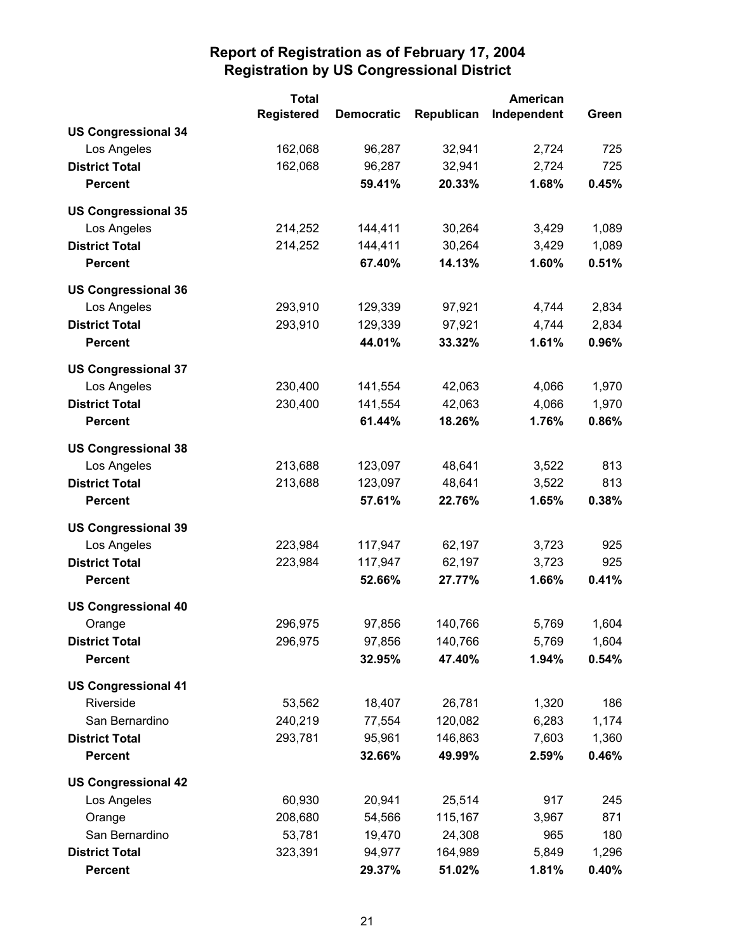|                            | <b>Total</b>      |                   | <b>American</b> |             |       |
|----------------------------|-------------------|-------------------|-----------------|-------------|-------|
|                            | <b>Registered</b> | <b>Democratic</b> | Republican      | Independent | Green |
| <b>US Congressional 34</b> |                   |                   |                 |             |       |
| Los Angeles                | 162,068           | 96,287            | 32,941          | 2,724       | 725   |
| <b>District Total</b>      | 162,068           | 96,287            | 32,941          | 2,724       | 725   |
| <b>Percent</b>             |                   | 59.41%            | 20.33%          | 1.68%       | 0.45% |
| <b>US Congressional 35</b> |                   |                   |                 |             |       |
| Los Angeles                | 214,252           | 144,411           | 30,264          | 3,429       | 1,089 |
| <b>District Total</b>      | 214,252           | 144,411           | 30,264          | 3,429       | 1,089 |
| <b>Percent</b>             |                   | 67.40%            | 14.13%          | 1.60%       | 0.51% |
| <b>US Congressional 36</b> |                   |                   |                 |             |       |
| Los Angeles                | 293,910           | 129,339           | 97,921          | 4,744       | 2,834 |
| <b>District Total</b>      | 293,910           | 129,339           | 97,921          | 4,744       | 2,834 |
| <b>Percent</b>             |                   | 44.01%            | 33.32%          | 1.61%       | 0.96% |
| <b>US Congressional 37</b> |                   |                   |                 |             |       |
| Los Angeles                | 230,400           | 141,554           | 42,063          | 4,066       | 1,970 |
| <b>District Total</b>      | 230,400           | 141,554           | 42,063          | 4,066       | 1,970 |
| <b>Percent</b>             |                   | 61.44%            | 18.26%          | 1.76%       | 0.86% |
| <b>US Congressional 38</b> |                   |                   |                 |             |       |
| Los Angeles                | 213,688           | 123,097           | 48,641          | 3,522       | 813   |
| <b>District Total</b>      | 213,688           | 123,097           | 48,641          | 3,522       | 813   |
| <b>Percent</b>             |                   | 57.61%            | 22.76%          | 1.65%       | 0.38% |
| <b>US Congressional 39</b> |                   |                   |                 |             |       |
| Los Angeles                | 223,984           | 117,947           | 62,197          | 3,723       | 925   |
| <b>District Total</b>      | 223,984           | 117,947           | 62,197          | 3,723       | 925   |
| <b>Percent</b>             |                   | 52.66%            | 27.77%          | 1.66%       | 0.41% |
| <b>US Congressional 40</b> |                   |                   |                 |             |       |
| Orange                     | 296,975           | 97,856            | 140,766         | 5,769       | 1,604 |
| <b>District Total</b>      | 296,975           | 97,856            | 140,766         | 5,769       | 1,604 |
| <b>Percent</b>             |                   | 32.95%            | 47.40%          | 1.94%       | 0.54% |
| <b>US Congressional 41</b> |                   |                   |                 |             |       |
| Riverside                  | 53,562            | 18,407            | 26,781          | 1,320       | 186   |
| San Bernardino             | 240,219           | 77,554            | 120,082         | 6,283       | 1,174 |
| <b>District Total</b>      | 293,781           | 95,961            | 146,863         | 7,603       | 1,360 |
| <b>Percent</b>             |                   | 32.66%            | 49.99%          | 2.59%       | 0.46% |
| <b>US Congressional 42</b> |                   |                   |                 |             |       |
| Los Angeles                | 60,930            | 20,941            | 25,514          | 917         | 245   |
| Orange                     | 208,680           | 54,566            | 115,167         | 3,967       | 871   |
| San Bernardino             | 53,781            | 19,470            | 24,308          | 965         | 180   |
| <b>District Total</b>      | 323,391           | 94,977            | 164,989         | 5,849       | 1,296 |
| <b>Percent</b>             |                   | 29.37%            | 51.02%          | 1.81%       | 0.40% |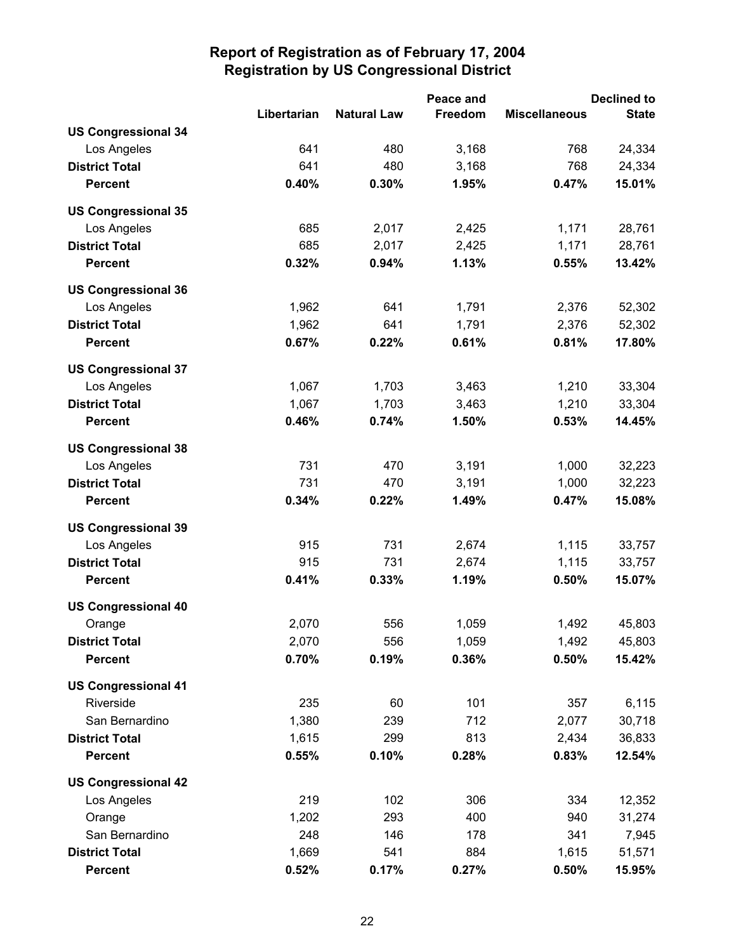|                            |             |                    | Peace and |                      | <b>Declined to</b> |
|----------------------------|-------------|--------------------|-----------|----------------------|--------------------|
|                            | Libertarian | <b>Natural Law</b> | Freedom   | <b>Miscellaneous</b> | <b>State</b>       |
| <b>US Congressional 34</b> |             |                    |           |                      |                    |
| Los Angeles                | 641         | 480                | 3,168     | 768                  | 24,334             |
| <b>District Total</b>      | 641         | 480                | 3,168     | 768                  | 24,334             |
| <b>Percent</b>             | 0.40%       | 0.30%              | 1.95%     | 0.47%                | 15.01%             |
| <b>US Congressional 35</b> |             |                    |           |                      |                    |
| Los Angeles                | 685         | 2,017              | 2,425     | 1,171                | 28,761             |
| <b>District Total</b>      | 685         | 2,017              | 2,425     | 1,171                | 28,761             |
| <b>Percent</b>             | 0.32%       | 0.94%              | 1.13%     | 0.55%                | 13.42%             |
| <b>US Congressional 36</b> |             |                    |           |                      |                    |
| Los Angeles                | 1,962       | 641                | 1,791     | 2,376                | 52,302             |
| <b>District Total</b>      | 1,962       | 641                | 1,791     | 2,376                | 52,302             |
| <b>Percent</b>             | 0.67%       | 0.22%              | 0.61%     | 0.81%                | 17.80%             |
| <b>US Congressional 37</b> |             |                    |           |                      |                    |
| Los Angeles                | 1,067       | 1,703              | 3,463     | 1,210                | 33,304             |
| <b>District Total</b>      | 1,067       | 1,703              | 3,463     | 1,210                | 33,304             |
| <b>Percent</b>             | 0.46%       | 0.74%              | 1.50%     | 0.53%                | 14.45%             |
| <b>US Congressional 38</b> |             |                    |           |                      |                    |
| Los Angeles                | 731         | 470                | 3,191     | 1,000                | 32,223             |
| <b>District Total</b>      | 731         | 470                | 3,191     | 1,000                | 32,223             |
| <b>Percent</b>             | 0.34%       | 0.22%              | 1.49%     | 0.47%                | 15.08%             |
| <b>US Congressional 39</b> |             |                    |           |                      |                    |
| Los Angeles                | 915         | 731                | 2,674     | 1,115                | 33,757             |
| <b>District Total</b>      | 915         | 731                | 2,674     | 1,115                | 33,757             |
| <b>Percent</b>             | 0.41%       | 0.33%              | 1.19%     | 0.50%                | 15.07%             |
| <b>US Congressional 40</b> |             |                    |           |                      |                    |
| Orange                     | 2,070       | 556                | 1,059     | 1,492                | 45,803             |
| <b>District Total</b>      | 2,070       | 556                | 1,059     | 1,492                | 45,803             |
| <b>Percent</b>             | 0.70%       | 0.19%              | 0.36%     | 0.50%                | 15.42%             |
| <b>US Congressional 41</b> |             |                    |           |                      |                    |
| Riverside                  | 235         | 60                 | 101       | 357                  | 6,115              |
| San Bernardino             | 1,380       | 239                | 712       | 2,077                | 30,718             |
| <b>District Total</b>      | 1,615       | 299                | 813       | 2,434                | 36,833             |
| <b>Percent</b>             | 0.55%       | 0.10%              | 0.28%     | 0.83%                | 12.54%             |
| <b>US Congressional 42</b> |             |                    |           |                      |                    |
| Los Angeles                | 219         | 102                | 306       | 334                  | 12,352             |
| Orange                     | 1,202       | 293                | 400       | 940                  | 31,274             |
| San Bernardino             | 248         | 146                | 178       | 341                  | 7,945              |
| <b>District Total</b>      | 1,669       | 541                | 884       | 1,615                | 51,571             |
| <b>Percent</b>             | 0.52%       | 0.17%              | 0.27%     | 0.50%                | 15.95%             |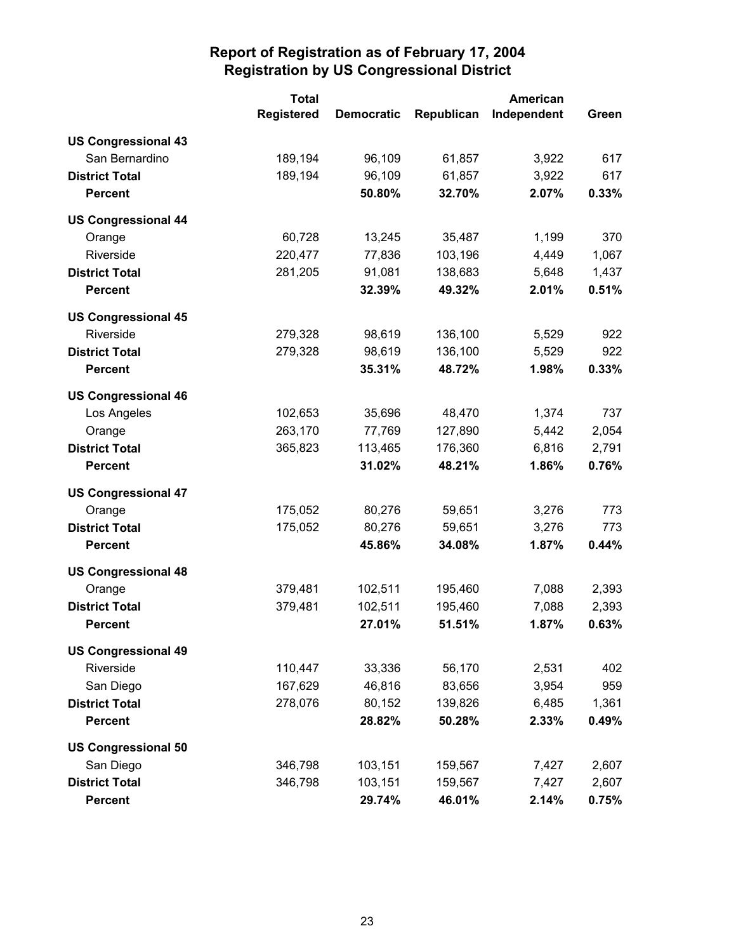|                            | <b>Total</b>      |                   |            | <b>American</b> |       |
|----------------------------|-------------------|-------------------|------------|-----------------|-------|
|                            | <b>Registered</b> | <b>Democratic</b> | Republican | Independent     | Green |
| <b>US Congressional 43</b> |                   |                   |            |                 |       |
| San Bernardino             | 189,194           | 96,109            | 61,857     | 3,922           | 617   |
| <b>District Total</b>      | 189,194           | 96,109            | 61,857     | 3,922           | 617   |
| <b>Percent</b>             |                   | 50.80%            | 32.70%     | 2.07%           | 0.33% |
| <b>US Congressional 44</b> |                   |                   |            |                 |       |
| Orange                     | 60,728            | 13,245            | 35,487     | 1,199           | 370   |
| Riverside                  | 220,477           | 77,836            | 103,196    | 4,449           | 1,067 |
| <b>District Total</b>      | 281,205           | 91,081            | 138,683    | 5,648           | 1,437 |
| <b>Percent</b>             |                   | 32.39%            | 49.32%     | 2.01%           | 0.51% |
| <b>US Congressional 45</b> |                   |                   |            |                 |       |
| Riverside                  | 279,328           | 98,619            | 136,100    | 5,529           | 922   |
| <b>District Total</b>      | 279,328           | 98,619            | 136,100    | 5,529           | 922   |
| <b>Percent</b>             |                   | 35.31%            | 48.72%     | 1.98%           | 0.33% |
| <b>US Congressional 46</b> |                   |                   |            |                 |       |
| Los Angeles                | 102,653           | 35,696            | 48,470     | 1,374           | 737   |
| Orange                     | 263,170           | 77,769            | 127,890    | 5,442           | 2,054 |
| <b>District Total</b>      | 365,823           | 113,465           | 176,360    | 6,816           | 2,791 |
| <b>Percent</b>             |                   | 31.02%            | 48.21%     | 1.86%           | 0.76% |
| <b>US Congressional 47</b> |                   |                   |            |                 |       |
| Orange                     | 175,052           | 80,276            | 59,651     | 3,276           | 773   |
| <b>District Total</b>      | 175,052           | 80,276            | 59,651     | 3,276           | 773   |
| <b>Percent</b>             |                   | 45.86%            | 34.08%     | 1.87%           | 0.44% |
| <b>US Congressional 48</b> |                   |                   |            |                 |       |
| Orange                     | 379,481           | 102,511           | 195,460    | 7,088           | 2,393 |
| <b>District Total</b>      | 379,481           | 102,511           | 195,460    | 7,088           | 2,393 |
| <b>Percent</b>             |                   | 27.01%            | 51.51%     | 1.87%           | 0.63% |
| <b>US Congressional 49</b> |                   |                   |            |                 |       |
| Riverside                  | 110,447           | 33,336            | 56,170     | 2,531           | 402   |
| San Diego                  | 167,629           | 46,816            | 83,656     | 3,954           | 959   |
| <b>District Total</b>      | 278,076           | 80,152            | 139,826    | 6,485           | 1,361 |
| <b>Percent</b>             |                   | 28.82%            | 50.28%     | 2.33%           | 0.49% |
| <b>US Congressional 50</b> |                   |                   |            |                 |       |
| San Diego                  | 346,798           | 103,151           | 159,567    | 7,427           | 2,607 |
| <b>District Total</b>      | 346,798           | 103,151           | 159,567    | 7,427           | 2,607 |
| <b>Percent</b>             |                   | 29.74%            | 46.01%     | 2.14%           | 0.75% |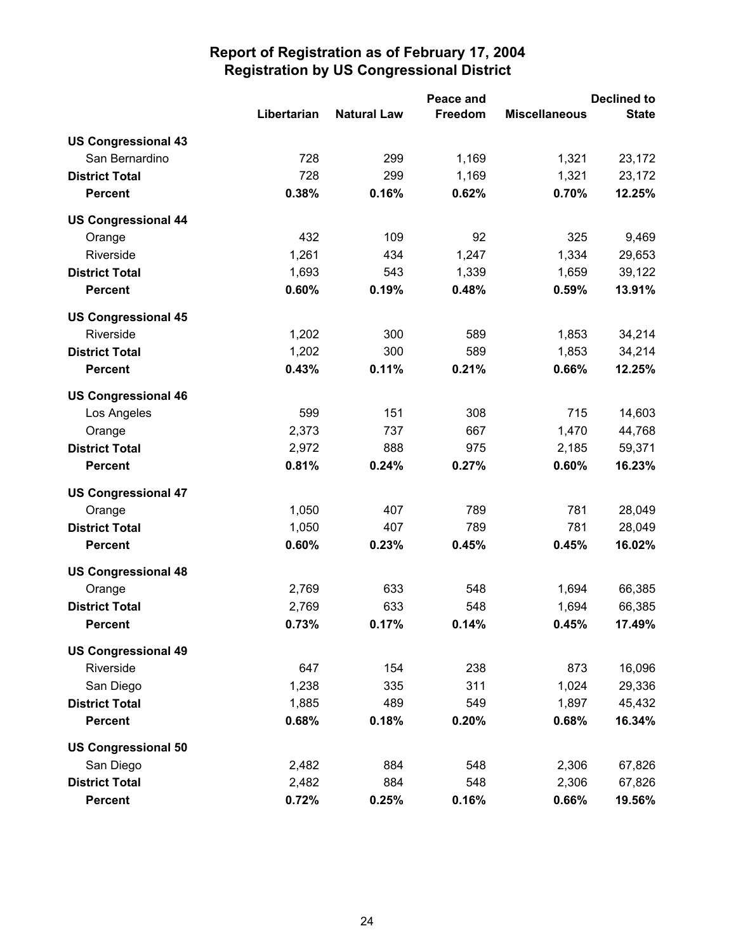|                            |             | Peace and          |         |                      | <b>Declined to</b> |  |  |
|----------------------------|-------------|--------------------|---------|----------------------|--------------------|--|--|
|                            | Libertarian | <b>Natural Law</b> | Freedom | <b>Miscellaneous</b> | <b>State</b>       |  |  |
| <b>US Congressional 43</b> |             |                    |         |                      |                    |  |  |
| San Bernardino             | 728         | 299                | 1,169   | 1,321                | 23,172             |  |  |
| <b>District Total</b>      | 728         | 299                | 1,169   | 1,321                | 23,172             |  |  |
| <b>Percent</b>             | 0.38%       | 0.16%              | 0.62%   | 0.70%                | 12.25%             |  |  |
| <b>US Congressional 44</b> |             |                    |         |                      |                    |  |  |
| Orange                     | 432         | 109                | 92      | 325                  | 9,469              |  |  |
| Riverside                  | 1,261       | 434                | 1,247   | 1,334                | 29,653             |  |  |
| <b>District Total</b>      | 1,693       | 543                | 1,339   | 1,659                | 39,122             |  |  |
| <b>Percent</b>             | 0.60%       | 0.19%              | 0.48%   | 0.59%                | 13.91%             |  |  |
| <b>US Congressional 45</b> |             |                    |         |                      |                    |  |  |
| Riverside                  | 1,202       | 300                | 589     | 1,853                | 34,214             |  |  |
| <b>District Total</b>      | 1,202       | 300                | 589     | 1,853                | 34,214             |  |  |
| <b>Percent</b>             | 0.43%       | 0.11%              | 0.21%   | 0.66%                | 12.25%             |  |  |
| <b>US Congressional 46</b> |             |                    |         |                      |                    |  |  |
| Los Angeles                | 599         | 151                | 308     | 715                  | 14,603             |  |  |
| Orange                     | 2,373       | 737                | 667     | 1,470                | 44,768             |  |  |
| <b>District Total</b>      | 2,972       | 888                | 975     | 2,185                | 59,371             |  |  |
| <b>Percent</b>             | 0.81%       | 0.24%              | 0.27%   | 0.60%                | 16.23%             |  |  |
| <b>US Congressional 47</b> |             |                    |         |                      |                    |  |  |
| Orange                     | 1,050       | 407                | 789     | 781                  | 28,049             |  |  |
| <b>District Total</b>      | 1,050       | 407                | 789     | 781                  | 28,049             |  |  |
| <b>Percent</b>             | 0.60%       | 0.23%              | 0.45%   | 0.45%                | 16.02%             |  |  |
| <b>US Congressional 48</b> |             |                    |         |                      |                    |  |  |
| Orange                     | 2,769       | 633                | 548     | 1,694                | 66,385             |  |  |
| <b>District Total</b>      | 2,769       | 633                | 548     | 1,694                | 66,385             |  |  |
| <b>Percent</b>             | 0.73%       | 0.17%              | 0.14%   | 0.45%                | 17.49%             |  |  |
| <b>US Congressional 49</b> |             |                    |         |                      |                    |  |  |
| Riverside                  | 647         | 154                | 238     | 873                  | 16,096             |  |  |
| San Diego                  | 1,238       | 335                | 311     | 1,024                | 29,336             |  |  |
| <b>District Total</b>      | 1,885       | 489                | 549     | 1,897                | 45,432             |  |  |
| <b>Percent</b>             | 0.68%       | 0.18%              | 0.20%   | 0.68%                | 16.34%             |  |  |
| <b>US Congressional 50</b> |             |                    |         |                      |                    |  |  |
| San Diego                  | 2,482       | 884                | 548     | 2,306                | 67,826             |  |  |
| <b>District Total</b>      | 2,482       | 884                | 548     | 2,306                | 67,826             |  |  |
| Percent                    | 0.72%       | 0.25%              | 0.16%   | 0.66%                | 19.56%             |  |  |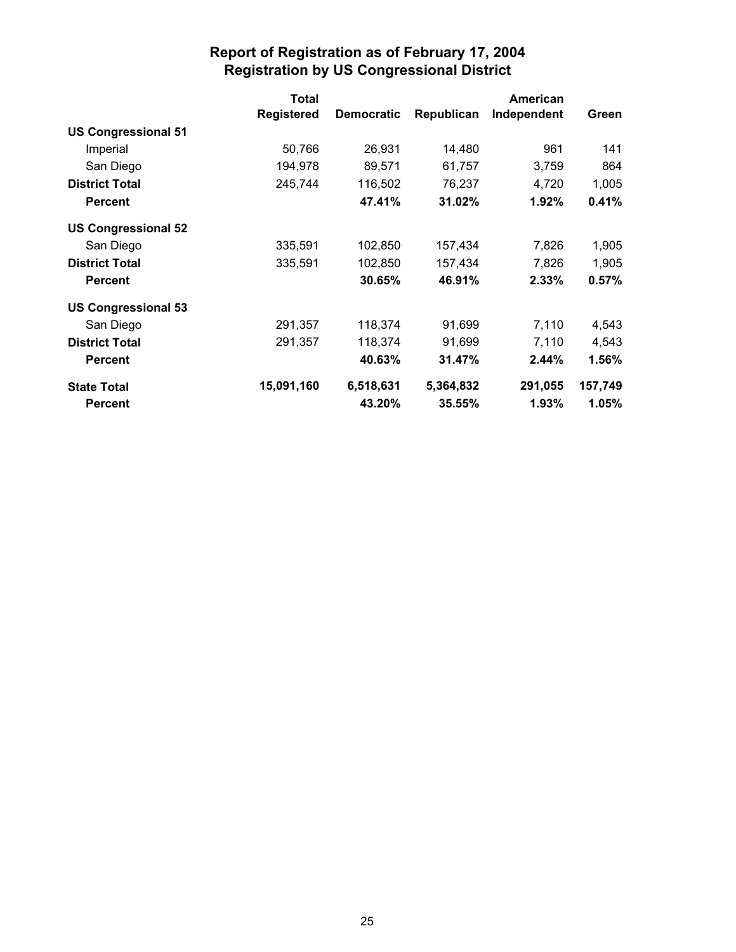|                            | <b>Total</b>      |                   |            | <b>American</b> |         |
|----------------------------|-------------------|-------------------|------------|-----------------|---------|
|                            | <b>Registered</b> | <b>Democratic</b> | Republican | Independent     | Green   |
| <b>US Congressional 51</b> |                   |                   |            |                 |         |
| Imperial                   | 50,766            | 26,931            | 14,480     | 961             | 141     |
| San Diego                  | 194,978           | 89,571            | 61,757     | 3,759           | 864     |
| <b>District Total</b>      | 245,744           | 116,502           | 76,237     | 4,720           | 1,005   |
| <b>Percent</b>             |                   | 47.41%            | 31.02%     | 1.92%           | 0.41%   |
| <b>US Congressional 52</b> |                   |                   |            |                 |         |
| San Diego                  | 335,591           | 102,850           | 157,434    | 7,826           | 1,905   |
| <b>District Total</b>      | 335,591           | 102,850           | 157,434    | 7,826           | 1,905   |
| <b>Percent</b>             |                   | 30.65%            | 46.91%     | 2.33%           | 0.57%   |
| <b>US Congressional 53</b> |                   |                   |            |                 |         |
| San Diego                  | 291,357           | 118,374           | 91,699     | 7,110           | 4,543   |
| <b>District Total</b>      | 291,357           | 118,374           | 91,699     | 7,110           | 4,543   |
| <b>Percent</b>             |                   | 40.63%            | 31.47%     | $2.44\%$        | 1.56%   |
| <b>State Total</b>         | 15,091,160        | 6,518,631         | 5,364,832  | 291,055         | 157,749 |
| <b>Percent</b>             |                   | 43.20%            | 35.55%     | 1.93%           | 1.05%   |